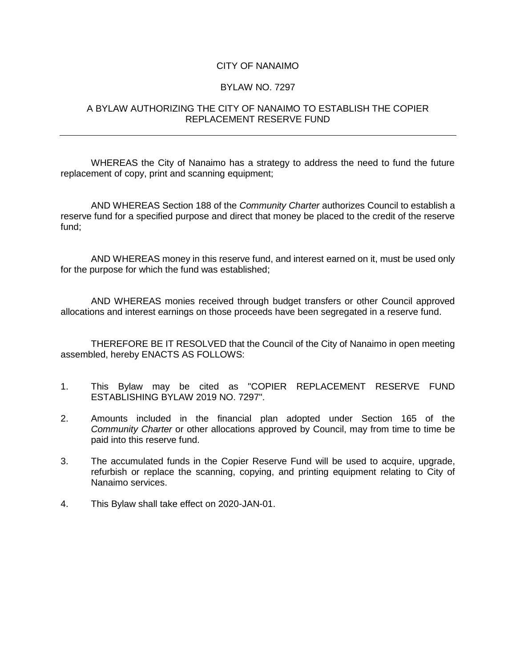## CITY OF NANAIMO

## BYLAW NO. 7297

## A BYLAW AUTHORIZING THE CITY OF NANAIMO TO ESTABLISH THE COPIER REPLACEMENT RESERVE FUND

WHEREAS the City of Nanaimo has a strategy to address the need to fund the future replacement of copy, print and scanning equipment;

AND WHEREAS Section 188 of the *Community Charter* authorizes Council to establish a reserve fund for a specified purpose and direct that money be placed to the credit of the reserve fund;

AND WHEREAS money in this reserve fund, and interest earned on it, must be used only for the purpose for which the fund was established;

AND WHEREAS monies received through budget transfers or other Council approved allocations and interest earnings on those proceeds have been segregated in a reserve fund.

THEREFORE BE IT RESOLVED that the Council of the City of Nanaimo in open meeting assembled, hereby ENACTS AS FOLLOWS:

- 1. This Bylaw may be cited as "COPIER REPLACEMENT RESERVE FUND ESTABLISHING BYLAW 2019 NO. 7297".
- 2. Amounts included in the financial plan adopted under Section 165 of the *Community Charter* or other allocations approved by Council, may from time to time be paid into this reserve fund.
- 3. The accumulated funds in the Copier Reserve Fund will be used to acquire, upgrade, refurbish or replace the scanning, copying, and printing equipment relating to City of Nanaimo services.
- 4. This Bylaw shall take effect on 2020-JAN-01.